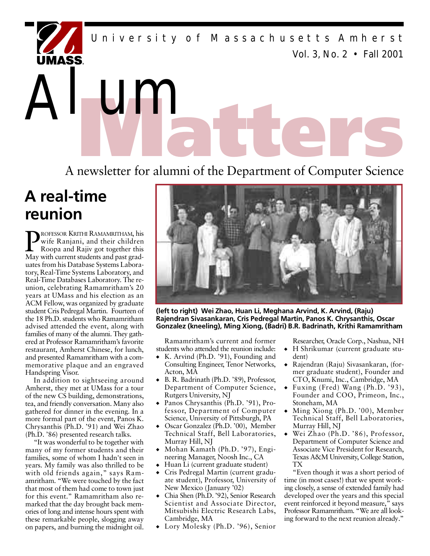*Vol. 3, No. 2 • Fall 2001* University of Massachusetts Amherst

**Matter of alumni of the Department of Computer Science** 

## **A real-time reunion**

Alum

R

**P**ROFESSOR KRITHI RAMAMRITHAM, his<br>
Roopa and Rajiv got together this<br>
May with current students and past grad-ROFESSOR KRITHI RAMAMRITHAM, his wife Ranjani, and their children Roopa and Rajiv got together this uates from his Database Systems Laboratory, Real-Time Systems Laboratory, and Real-Time Databases Laboratory. The reunion, celebrating Ramamritham's 20 years at UMass and his election as an ACM Fellow, was organized by graduate student Cris Pedregal Martin. Fourteen of the 18 Ph.D. students who Ramamritham advised attended the event, along with families of many of the alumni. They gathe red at Professor Ramamritham's favorite restaurant, Amherst Chinese, for lunch, and presented Ramamritham with a commemorative plaque and an engraved Handspring Visor.

In addition to sightseeing around Amherst, they met at UMass for a tour of the new CS building, demonstrations, tea, and friendly conversation. Many also gathered for dinner in the evening. In a more formal part of the event, Panos K. Chrysanthis (Ph.D. '91) and Wei Zhao (Ph.D. '86) presented research talks.

"It was wonderful to be together with many of my former students and their families, some of whom I hadn't seen in years. My family was also thrilled to be with old friends again," says Ramamritham. "We were touched by the fact that most of them had come to town just for this event." Ramamritham also remarked that the day brought back memories of long and intense hours spent with these remarkable people, slogging away on papers, and burning the midnight oil.



**(left to right) Wei Zhao, Huan Li, Meghana Arvind, K. Arvind, (Raju) Rajendran Sivasankaran, Cris Pedregal Martin, Panos K. Chrysanthis, Oscar Gonzalez (kneeling), Ming Xiong, (Badri) B.R. Badrinath, Krithi Ramamritham**

Ramamritham's current and former students who attended the reunion include:

- ◆ K. Arvind (Ph.D. '91), Founding and Consulting Engineer, Tenor Networks, Acton, MA
- $\bullet$  B. R. Badrinath (Ph.D. '89), Professor, Department of Computer Science, Rutgers University, NJ
- ◆ Panos Chrysanthis (Ph.D. '91), Professor, Department of Computer Science, University of Pittsburgh, PA
- ◆ Oscar Gonzalez (Ph.D. '00), Member Technical Staff, Bell Laboratories, Murray Hill, NJ
- ◆ Mohan Kamath (Ph.D. '97), Engineering Manager, Noosh Inc., CA
- ◆ Huan Li (current graduate student)
- ◆ Cris Pedregal Martin (current graduate student), Professor, University of New Mexico (January '02)
- Chia Shen (Ph.D. '92), Senior Research Scientist and Associate Director, Mitsubishi Electric Research Labs, Cambridge, MA
- ◆ Lory Molesky (Ph.D. '96), Senior

Researcher, Oracle Corp., Nashua, NH

- ◆ H Shrikumar (current graduate student)
- Rajendran (Raju) Sivasankaran, (former graduate student), Founder and CTO, Knumi, Inc., Cambridge, MA
- Fuxing (Fred) Wang (Ph.D. '93), Founder and COO, Primeon, Inc., Stoneham, MA
- ◆ Ming Xiong (Ph.D. '00), Member Technical Staff, Bell Laboratories, Murray Hill, NJ
- Wei Zhao (Ph.D. '86), Professor, Department of Computer Science and Associate Vice President for Research, Texas A&M University, College Station, TX

"Even though it was a short period of time (in most cases!) that we spent working closely, a sense of extended family had developed over the years and this special event reinforced it beyond measure," says Professor Ramamritham. "We are all looking forward to the next reunion already."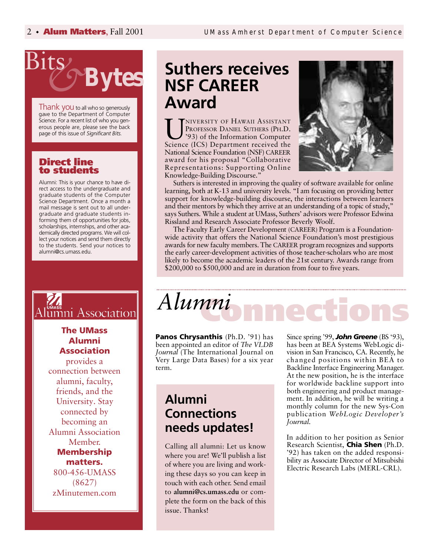

Thank you to all who so generously gave to the Department of Computer Science. For a recent list of who you generous people are, please see the back page of this issue of *Significant Bits.*

#### **Direct line to students**

Alumni: This is your chance to have direct access to the undergraduate and graduate students of the Computer Science Department. Once a month a mail message is sent out to all undergraduate and graduate students informing them of opportunities for jobs, scholarships, internships, and other academically directed programs. We will collect your notices and send them directly to the students. Send your notices to alumni@cs.umass.edu.

## umni Association

#### **The UMass Alumni Association**

provides a connection between alumni, faculty, friends, and the University. Stay connected by becoming an Alumni Association Member. **Membership matters.** 800-456-UMASS (8627) zMinutemen.com

## **Suthers receives**<br>**PES BITER NSF CAREER Award**

UNIVERSITY OF HAWAII ASSISTANT<br>
PROFESSOR DANIEL SUTHERS (PH.D.<br>
Science (ICS) Department received the NIVERSITY OF HAWAII ASSISTANT PROFESSOR DANIEL SUTHERS (PH.D. '93) of the Information Computer National Science Foundation (NSF) CAREER award for his proposal "Collaborative Representations: Supporting Online Knowledge-Building Discourse."



Suthers is interested in improving the quality of software available for online learning, both at K-13 and university levels. "I am focusing on providing better support for knowledge-building discourse, the interactions between learners and their mentors by which they arrive at an understanding of a topic of study, " says Suthers. While a student at UMass, Suthers' advisors were Professor Edwina Rissland and Research Associate Professor Beverly Woolf.

The Faculty Early Career Development (CAREER) Program is a Foundationwide activity that offers the National Science Foundation's most prestigious awards for new faculty members. The CAREER program recognizes and supports the early career-development activities of those teacher-scholars who are most likely to become the academic leaders of the 21st century. Awards range from \$200,000 to \$500,000 and are in duration from four to five years.

## **Connections** *Alumni*

**Panos Chrysanthis** (Ph.D. '91) has been appointed an editor of *The VLDB* Journal (The International Journal on Very Large Data Bases) for a six year term.

## **A l u m n i Connections needs updates!**

Calling all alumni: Let us know where you are! We'll publish a list of where you are living and working these days so you can keep in touch with each other. Send email to alumni@cs.umass.edu or complete the form on the back of this issue. Thanks!

Since spring '99, **John Greene** (BS '93), has been at BEA Systems WebLogic division in San Francisco, CA. Recently, he changed positions within BEA to Backline Interface Engineering Manager. At the new position, he is the interface for worldwide backline support into both engineering and product management. In addition, he will be writing a monthly column for the new Sys-Con publication *WebLogic Developer's J ournal.* 

In addition to her position as Senior Research Scientist, **Chia Shen** (Ph.D. '92) has taken on the added responsibility as Associate Director of Mitsubishi Electric Research Labs (MERL-CRL).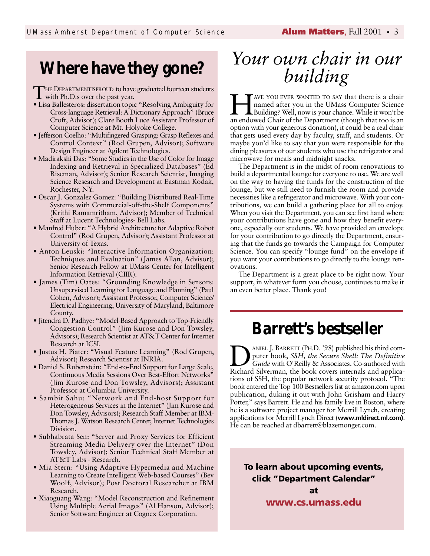## **Where have they gone?**

THE DEPARTMENTISPROUD to have<br>with Ph.D.s over the past year. HE DEPARTMENTISPROUD to have graduated fourteen students

- Lisa Ballesteros: dissertation topic "Resolving Ambiguity for Cross-language Retrieval: A Dictionary Approach" (Bruce Croft, Advisor); Clare Booth Luce Assistant Professor of Computer Science at Mt. Holyoke College.
- Jefferson Coelho: "Multifingered Grasping: Grasp Reflexes and Control Context" (Rod Grupen, Advisor); Software Design Engineer at Agilent Technologies.
- Madirakshi Das: "Some Studies in the Use of Color for Image Indexing and Retrieval in Specialized Databases" (Ed Riseman, Advisor); Senior Research Scientist, Imaging Science Research and Development at Eastman Kodak, Rochester, NY.
- Oscar J. Gonzalez Gomez: "Building Distributed Real-Time Systems with Commercial-off-the-Shelf Components" (Krithi Ramamritham, Advisor); Member of Technical Staff at Lucent Technologies- Bell Labs.
- Manfred Huber: "A Hybrid Architecture for Adaptive Robot Control" (Rod Grupen, Advisor); Assistant Professor at University of Texas.
- Anton Leuski: "Interactive Information Organization: Techniques and Evaluation" (James Allan, Advisor); Senior Research Fellow at UMass Center for Intelligent Information Retrieval (CIIR).
- James (Tim) Oates: "Grounding Knowledge in Sensors: Unsupervised Learning for Language and Planning" (Paul Cohen, Advisor); Assistant Professor, Computer Science/ Electrical Engineering, University of Maryland, Baltimore County.
- Jitendra D. Padhye: "Model-Based Approach to Top-Friendly Congestion Control" (Jim Kurose and Don Towsley, Advisors); Research Scientist at AT&T Center for Internet Research at ICSI.
- Justus H. Piater: "Visual Feature Learning" (Rod Grupen, Advisor); Research Scientist at INRIA.
- Daniel S. Rubenstein: "End-to-End Support for Large Scale, Continuous Media Sessions Over Best-Effort Networks" (Jim Kurose and Don Towsley, Advisors); Assistant Professor at Columbia University.
- Sambit Sahu: "Network and End-host Support for Heterogeneous Services in the Internet" (Jim Kurose and Don Towsley, Advisors); Research Staff Member at IBM-Thomas J. Watson Research Center, Internet Technologies Division.
- Subhabrata Sen: "Server and Proxy Services for Efficient Streaming Media Delivery over the Internet" (Don Towsley, Advisor); Senior Technical Staff Member at AT&T Labs - Research.
- Mia Stern: "Using Adaptive Hypermedia and Machine Learning to Create Intelligent Web-based Courses" (Bev Woolf, Advisor); Post Doctoral Researcher at IBM Research.
- Xiaoguang Wang: "Model Reconstruction and Refinement Using Multiple Aerial Images" (Al Hanson, Advisor); Senior Software Engineer at Cognex Corporation.

## *Your own chair in our building*

THE AVE YOU EVER WANTED TO SAY that there is a chair named after you in the UMass Computer Science Building? Well, now is your chance. While it won't be an endowed Chair of the Department (though that too is an AVE YOU EVER WANTED TO SAY that there is a chair named after you in the UMass Computer Science Building? Well, now is your chance. While it won't be option with your generous donation), it could be a real chair that gets used every day by faculty, staff, and students. Or maybe you'd like to say that you were responsible for the dining pleasures of our students who use the refrigerator and microwave for meals and midnight snacks.

The Department is in the midst of room renovations to build a departmental lounge for everyone to use. We are well on the way to having the funds for the construction of the lounge, but we still need to furnish the room and provide necessities like a refrigerator and microwave. With your contributions, we can build a gathering place for all to enjoy. When you visit the Department, you can see first hand where your contributions have gone and how they benefit everyone, especially our students. We have provided an envelope for your contribution to go directly the Department, ensuring that the funds go towards the Campaign for Computer Science. You can specify "lounge fund" on the envelope if you want your contributions to go directly to the lounge renovations.

The Department is a great place to be right now. Your support, in whatever form you choose, continues to make it an even better place. Thank you!

## **Barrett's bestseller**

**D** ANIEL J. BARRETT (PH.D. '98) published his third computer book, *SSH*, the *Secure Shell: The Definitive* Guide with O'Reilly & Associates. Co-authored with Richard Silverman, the book covers internals and applica-ANIEL J. BARRETT (PH.D. '98) published his third computer book, *SSH, the Secure Shell: The Definitive* Guide with O'Reilly & Associates. Co-authored with tions of SSH, the popular network security protocol. "The book entered the Top 100 Bestsellers list at amazon.com upon publication, duking it out with John Grisham and Harry Potter," says Barrett. He and his family live in Boston, where he is a software project manager for Merrill Lynch, creating applications for Merrill Lynch Direct (www.mldirect.ml.com). He can be reached at dbarrett@blazemonger.com.

**To learn about upcoming events, click "Department Calendar" a t**

www.cs.umass.edu